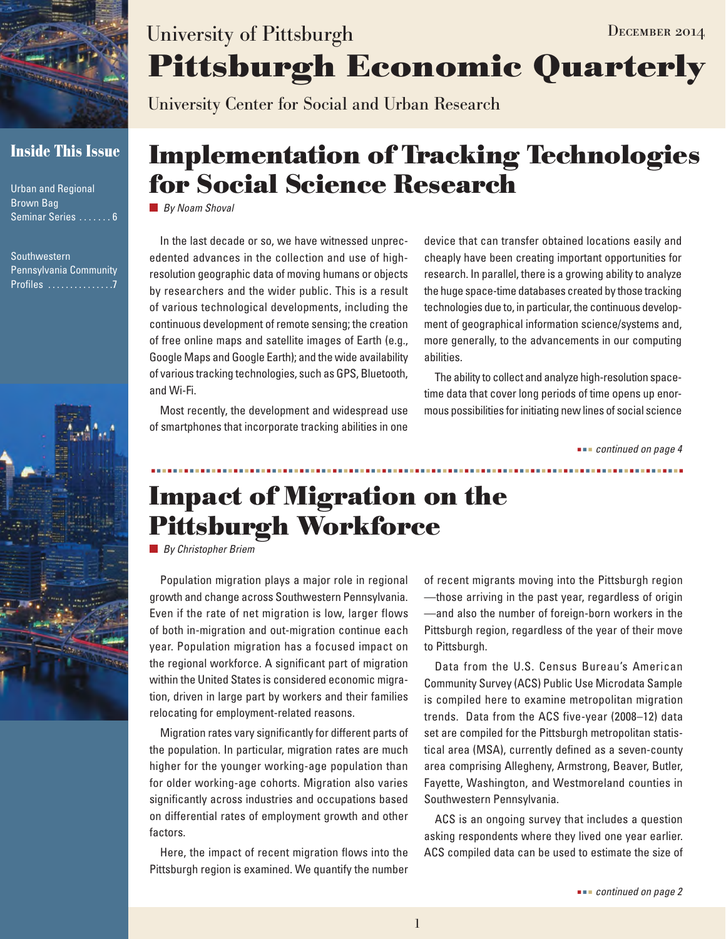

## **Inside This Issue**

Urban and Regional Brown Bag Seminar Series . . . . . . . 6

Southwestern Pennsylvania Community Profiles ................7



# **Pittsburgh Economic Quarterly** University of Pittsburgh DECEMBER 2014

University Center for Social and Urban Research

# **Implementation of Tracking Technologies for Social Science Research**

*By Noam Shoval*

In the last decade or so, we have witnessed unprecedented advances in the collection and use of highresolution geographic data of moving humans or objects by researchers and the wider public. This is a result of various technological developments, including the continuous development of remote sensing; the creation of free online maps and satellite images of Earth (e.g., Google Maps and Google Earth); and the wide availability of various tracking technologies, such as GPS, Bluetooth, and Wi-Fi.

Most recently, the development and widespread use of smartphones that incorporate tracking abilities in one device that can transfer obtained locations easily and cheaply have been creating important opportunities for research. In parallel, there is a growing ability to analyze the huge space-time databases created by those tracking technologies due to, in particular, the continuous development of geographical information science/systems and, more generally, to the advancements in our computing abilities.

The ability to collect and analyze high-resolution spacetime data that cover long periods of time opens up enormous possibilities for initiating new lines of social science

 *continued on page 4*

# **Impact of Migration on the Pittsburgh Workforce**

*By Christopher Briem*

Population migration plays a major role in regional growth and change across Southwestern Pennsylvania. Even if the rate of net migration is low, larger flows of both in-migration and out-migration continue each year. Population migration has a focused impact on the regional workforce. A significant part of migration within the United States is considered economic migration, driven in large part by workers and their families relocating for employment-related reasons.

Migration rates vary significantly for different parts of the population. In particular, migration rates are much higher for the younger working-age population than for older working-age cohorts. Migration also varies significantly across industries and occupations based on differential rates of employment growth and other factors.

Here, the impact of recent migration flows into the Pittsburgh region is examined. We quantify the number

of recent migrants moving into the Pittsburgh region —those arriving in the past year, regardless of origin —and also the number of foreign-born workers in the Pittsburgh region, regardless of the year of their move to Pittsburgh.

Data from the U.S. Census Bureau's American Community Survey (ACS) Public Use Microdata Sample is compiled here to examine metropolitan migration trends. Data from the ACS five-year (2008–12) data set are compiled for the Pittsburgh metropolitan statistical area (MSA), currently defined as a seven-county area comprising Allegheny, Armstrong, Beaver, Butler, Fayette, Washington, and Westmoreland counties in Southwestern Pennsylvania.

ACS is an ongoing survey that includes a question asking respondents where they lived one year earlier. ACS compiled data can be used to estimate the size of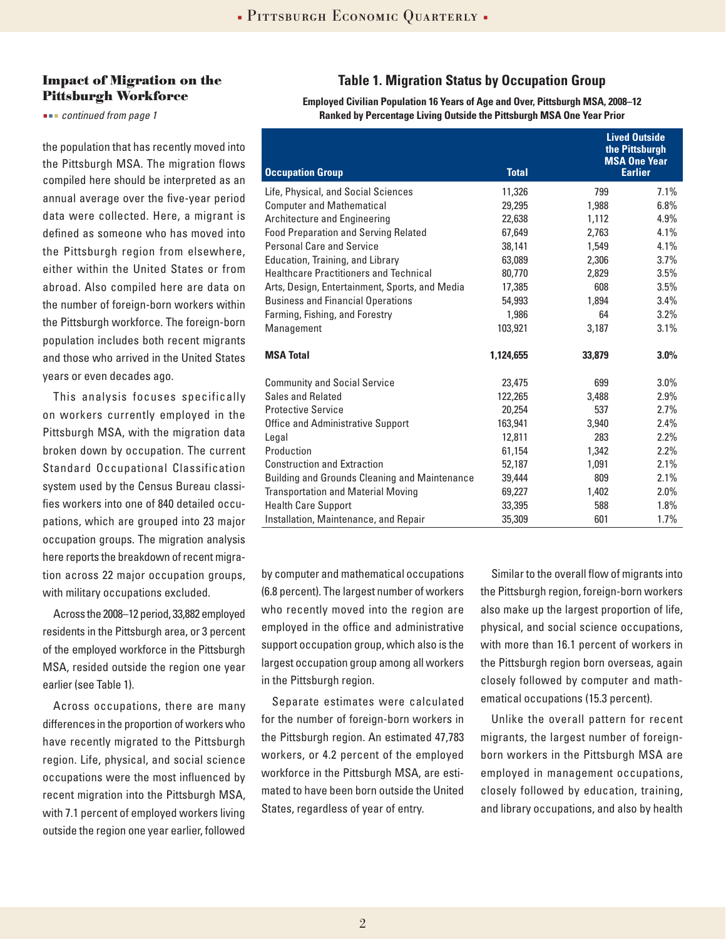#### **Impact of Migration on the Pittsburgh Workforce**

 *continued from page 1*

the population that has recently moved into the Pittsburgh MSA. The migration flows compiled here should be interpreted as an annual average over the five-year period data were collected. Here, a migrant is defined as someone who has moved into the Pittsburgh region from elsewhere, either within the United States or from abroad. Also compiled here are data on the number of foreign-born workers within the Pittsburgh workforce. The foreign-born population includes both recent migrants and those who arrived in the United States years or even decades ago.

This analysis focuses specifically on workers currently employed in the Pittsburgh MSA, with the migration data broken down by occupation. The current Standard Occupational Classification system used by the Census Bureau classifies workers into one of 840 detailed occupations, which are grouped into 23 major occupation groups. The migration analysis here reports the breakdown of recent migration across 22 major occupation groups, with military occupations excluded.

Across the 2008–12 period, 33,882 employed residents in the Pittsburgh area, or 3 percent of the employed workforce in the Pittsburgh MSA, resided outside the region one year earlier (see Table 1).

Across occupations, there are many differences in the proportion of workers who have recently migrated to the Pittsburgh region. Life, physical, and social science occupations were the most influenced by recent migration into the Pittsburgh MSA, with 7.1 percent of employed workers living outside the region one year earlier, followed

### **Table 1. Migration Status by Occupation Group**

**Employed Civilian Population 16 Years of Age and Over, Pittsburgh MSA, 2008–12 Ranked by Percentage Living Outside the Pittsburgh MSA One Year Prior**

|                                                |              | <b>Lived Outside</b><br>the Pittsburgh<br><b>MSA One Year</b> |                |
|------------------------------------------------|--------------|---------------------------------------------------------------|----------------|
| <b>Occupation Group</b>                        | <b>Total</b> |                                                               | <b>Earlier</b> |
| Life, Physical, and Social Sciences            | 11,326       | 799                                                           | 7.1%           |
| <b>Computer and Mathematical</b>               | 29,295       | 1,988                                                         | 6.8%           |
| Architecture and Engineering                   | 22,638       | 1,112                                                         | 4.9%           |
| <b>Food Preparation and Serving Related</b>    | 67,649       | 2,763                                                         | 4.1%           |
| <b>Personal Care and Service</b>               | 38,141       | 1,549                                                         | 4.1%           |
| Education, Training, and Library               | 63,089       | 2,306                                                         | 3.7%           |
| <b>Healthcare Practitioners and Technical</b>  | 80,770       | 2,829                                                         | 3.5%           |
| Arts, Design, Entertainment, Sports, and Media | 17,385       | 608                                                           | 3.5%           |
| <b>Business and Financial Operations</b>       | 54,993       | 1,894                                                         | 3.4%           |
| Farming, Fishing, and Forestry                 | 1,986        | 64                                                            | 3.2%           |
| Management                                     | 103,921      | 3,187                                                         | 3.1%           |
| <b>MSA Total</b>                               | 1,124,655    | 33,879                                                        | 3.0%           |
| <b>Community and Social Service</b>            | 23,475       | 699                                                           | $3.0\%$        |
| Sales and Related                              | 122,265      | 3,488                                                         | 2.9%           |
| <b>Protective Service</b>                      | 20,254       | 537                                                           | 2.7%           |
| Office and Administrative Support              | 163,941      | 3,940                                                         | 2.4%           |
| Legal                                          | 12,811       | 283                                                           | 2.2%           |
| Production                                     | 61,154       | 1,342                                                         | 2.2%           |
| <b>Construction and Extraction</b>             | 52,187       | 1,091                                                         | 2.1%           |
| Building and Grounds Cleaning and Maintenance  | 39,444       | 809                                                           | 2.1%           |
| <b>Transportation and Material Moving</b>      | 69,227       | 1,402                                                         | 2.0%           |
| <b>Health Care Support</b>                     | 33,395       | 588                                                           | 1.8%           |
| Installation, Maintenance, and Repair          | 35,309       | 601                                                           | 1.7%           |

by computer and mathematical occupations (6.8 percent). The largest number of workers who recently moved into the region are employed in the office and administrative support occupation group, which also is the largest occupation group among all workers in the Pittsburgh region.

Separate estimates were calculated for the number of foreign-born workers in the Pittsburgh region. An estimated 47,783 workers, or 4.2 percent of the employed workforce in the Pittsburgh MSA, are estimated to have been born outside the United States, regardless of year of entry.

Similar to the overall flow of migrants into the Pittsburgh region, foreign-born workers also make up the largest proportion of life, physical, and social science occupations, with more than 16.1 percent of workers in the Pittsburgh region born overseas, again closely followed by computer and mathematical occupations (15.3 percent).

Unlike the overall pattern for recent migrants, the largest number of foreignborn workers in the Pittsburgh MSA are employed in management occupations, closely followed by education, training, and library occupations, and also by health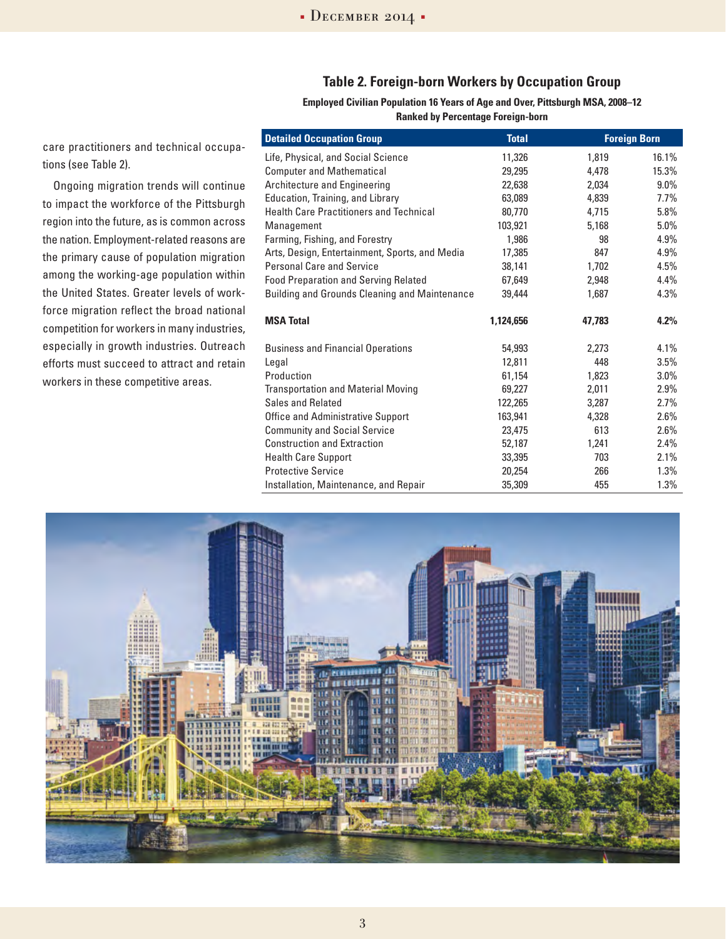### **Table 2. Foreign-born Workers by Occupation Group**

**Employed Civilian Population 16 Years of Age and Over, Pittsburgh MSA, 2008–12 Ranked by Percentage Foreign-born**

| care practitioners and technical occupa- |  |
|------------------------------------------|--|
| tions (see Table 2).                     |  |

Ongoing migration trends will continue to impact the workforce of the Pittsburgh region into the future, as is common across the nation. Employment-related reasons are the primary cause of population migration among the working-age population within the United States. Greater levels of workforce migration reflect the broad national competition for workers in many industries, especially in growth industries. Outreach efforts must succeed to attract and retain workers in these competitive areas.

| <b>Total</b> | <b>Foreign Born</b> |         |
|--------------|---------------------|---------|
| 11,326       | 1,819               | 16.1%   |
| 29,295       | 4,478               | 15.3%   |
| 22,638       | 2.034               | $9.0\%$ |
| 63,089       | 4,839               | $7.7\%$ |
| 80,770       | 4,715               | 5.8%    |
| 103,921      | 5,168               | $5.0\%$ |
| 1,986        | 98                  | 4.9%    |
| 17,385       | 847                 | 4.9%    |
| 38,141       | 1,702               | 4.5%    |
| 67,649       | 2,948               | 4.4%    |
| 39,444       | 1,687               | 4.3%    |
| 1.124.656    | 47.783              | 4.2%    |
| 54,993       | 2,273               | 4.1%    |
| 12,811       | 448                 | $3.5\%$ |
| 61,154       | 1,823               | $3.0\%$ |
| 69,227       | 2,011               | 2.9%    |
| 122,265      | 3,287               | 2.7%    |
| 163,941      | 4,328               | 2.6%    |
| 23,475       | 613                 | $2.6\%$ |
| 52,187       | 1,241               | 2.4%    |
| 33,395       | 703                 | 2.1%    |
| 20,254       | 266                 | 1.3%    |
| 35,309       | 455                 | 1.3%    |
|              |                     |         |

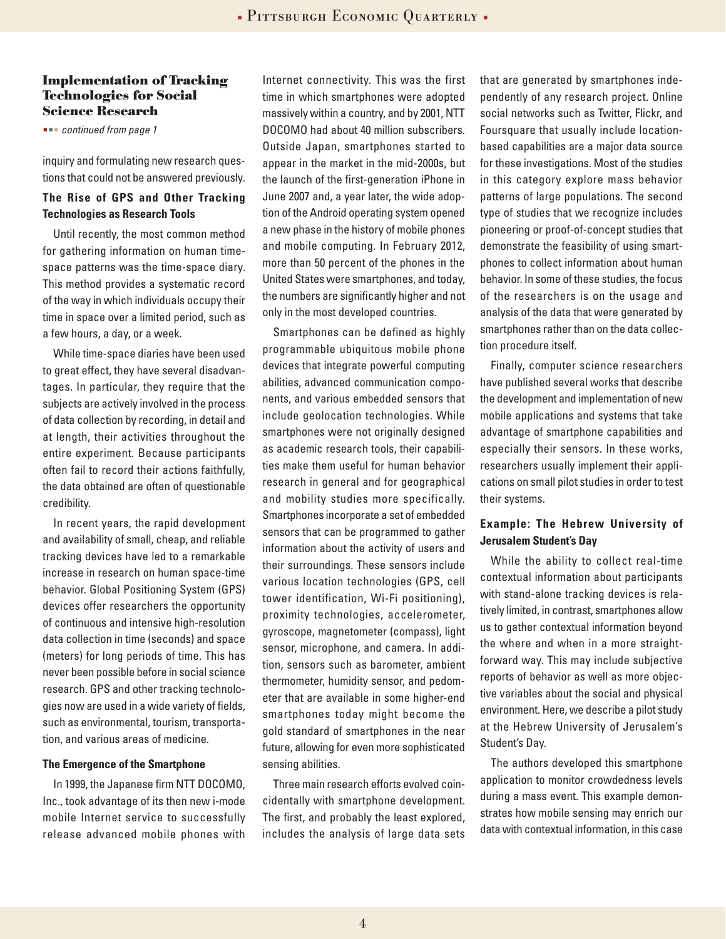#### **Implementation of Tracking Technologies for Social Science Research**

 *continued from page 1*

inquiry and formulating new research questions that could not be answered previously.

#### **The Rise of GPS and Other Tracking Technologies as Research Tools**

Until recently, the most common method for gathering information on human timespace patterns was the time-space diary. This method provides a systematic record of the way in which individuals occupy their time in space over a limited period, such as a few hours, a day, or a week.

While time-space diaries have been used to great effect, they have several disadvantages. In particular, they require that the subjects are actively involved in the process of data collection by recording, in detail and at length, their activities throughout the entire experiment. Because participants often fail to record their actions faithfully, the data obtained are often of questionable credibility.

In recent years, the rapid development and availability of small, cheap, and reliable tracking devices have led to a remarkable increase in research on human space-time behavior. Global Positioning System (GPS) devices offer researchers the opportunity of continuous and intensive high-resolution data collection in time (seconds) and space (meters) for long periods of time. This has never been possible before in social science research. GPS and other tracking technologies now are used in a wide variety of fields, such as environmental, tourism, transportation, and various areas of medicine.

#### **The Emergence of the Smartphone**

In 1999, the Japanese firm NTT DOCOMO, Inc., took advantage of its then new i-mode mobile Internet service to successfully release advanced mobile phones with Internet connectivity. This was the first time in which smartphones were adopted massively within a country, and by 2001, NTT DOCOMO had about 40 million subscribers. Outside Japan, smartphones started to appear in the market in the mid-2000s, but the launch of the first-generation iPhone in June 2007 and, a year later, the wide adoption of the Android operating system opened a new phase in the history of mobile phones and mobile computing. In February 2012, more than 50 percent of the phones in the United States were smartphones, and today, the numbers are significantly higher and not only in the most developed countries.

Smartphones can be defined as highly programmable ubiquitous mobile phone devices that integrate powerful computing abilities, advanced communication components, and various embedded sensors that include geolocation technologies. While smartphones were not originally designed as academic research tools, their capabilities make them useful for human behavior research in general and for geographical and mobility studies more specifically. Smartphones incorporate a set of embedded sensors that can be programmed to gather information about the activity of users and their surroundings. These sensors include various location technologies (GPS, cell tower identification, Wi-Fi positioning), proximity technologies, accelerometer, gyroscope, magnetometer (compass), light sensor, microphone, and camera. In addition, sensors such as barometer, ambient thermometer, humidity sensor, and pedometer that are available in some higher-end smartphones today might become the gold standard of smartphones in the near future, allowing for even more sophisticated sensing abilities.

Three main research efforts evolved coincidentally with smartphone development. The first, and probably the least explored, includes the analysis of large data sets that are generated by smartphones independently of any research project. Online social networks such as Twitter, Flickr, and Foursquare that usually include locationbased capabilities are a major data source for these investigations. Most of the studies in this category explore mass behavior patterns of large populations. The second type of studies that we recognize includes pioneering or proof-of-concept studies that demonstrate the feasibility of using smartphones to collect information about human behavior. In some of these studies, the focus of the researchers is on the usage and analysis of the data that were generated by smartphones rather than on the data collection procedure itself.

Finally, computer science researchers have published several works that describe the development and implementation of new mobile applications and systems that take advantage of smartphone capabilities and especially their sensors. In these works, researchers usually implement their applications on small pilot studies in order to test their systems.

### **Example: The Hebrew University of Jerusalem Student's Day**

While the ability to collect real-time contextual information about participants with stand-alone tracking devices is relatively limited, in contrast, smartphones allow us to gather contextual information beyond the where and when in a more straightforward way. This may include subjective reports of behavior as well as more objective variables about the social and physical environment. Here, we describe a pilot study at the Hebrew University of Jerusalem's Student's Day.

The authors developed this smartphone application to monitor crowdedness levels during a mass event. This example demonstrates how mobile sensing may enrich our data with contextual information, in this case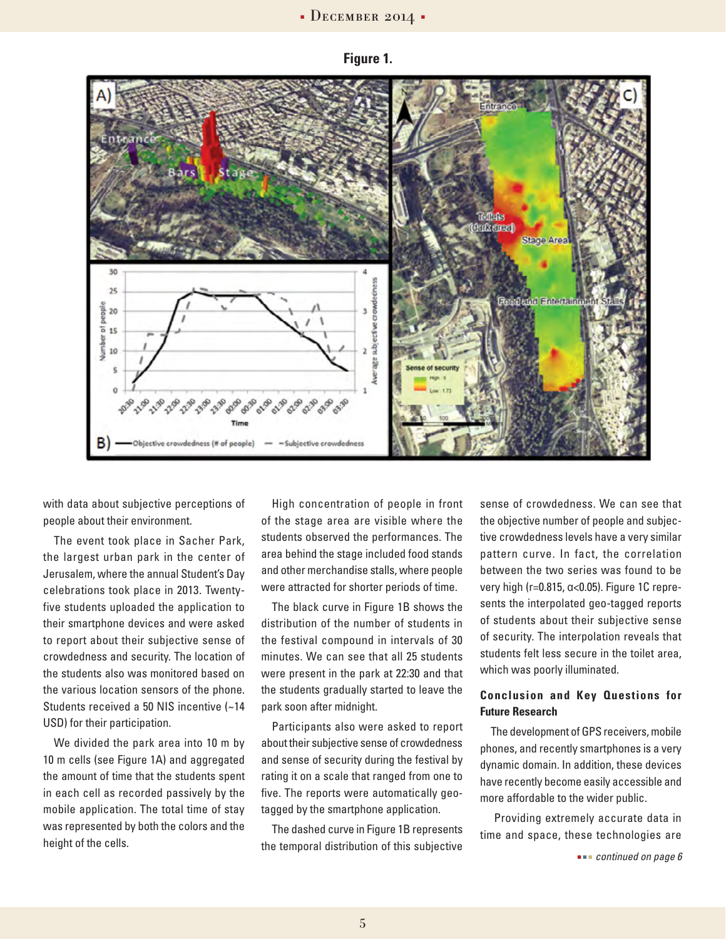



with data about subjective perceptions of people about their environment.

The event took place in Sacher Park, the largest urban park in the center of Jerusalem, where the annual Student's Day celebrations took place in 2013. Twentyfive students uploaded the application to their smartphone devices and were asked to report about their subjective sense of crowdedness and security. The location of the students also was monitored based on the various location sensors of the phone. Students received a 50 NIS incentive (~14 USD) for their participation.

We divided the park area into 10 m by 10 m cells (see Figure 1A) and aggregated the amount of time that the students spent in each cell as recorded passively by the mobile application. The total time of stay was represented by both the colors and the height of the cells.

High concentration of people in front of the stage area are visible where the students observed the performances. The area behind the stage included food stands and other merchandise stalls, where people were attracted for shorter periods of time.

The black curve in Figure 1B shows the distribution of the number of students in the festival compound in intervals of 30 minutes. We can see that all 25 students were present in the park at 22:30 and that the students gradually started to leave the park soon after midnight.

Participants also were asked to report about their subjective sense of crowdedness and sense of security during the festival by rating it on a scale that ranged from one to five. The reports were automatically geotagged by the smartphone application.

The dashed curve in Figure 1B represents the temporal distribution of this subjective

sense of crowdedness. We can see that the objective number of people and subjective crowdedness levels have a very similar pattern curve. In fact, the correlation between the two series was found to be very high (r=0.815, α<0.05). Figure 1C represents the interpolated geo-tagged reports of students about their subjective sense of security. The interpolation reveals that students felt less secure in the toilet area, which was poorly illuminated.

#### **Conclusion and Key Questions for Future Research**

The development of GPS receivers, mobile phones, and recently smartphones is a very dynamic domain. In addition, these devices have recently become easily accessible and more affordable to the wider public.

 Providing extremely accurate data in time and space, these technologies are

 *continued on page 6*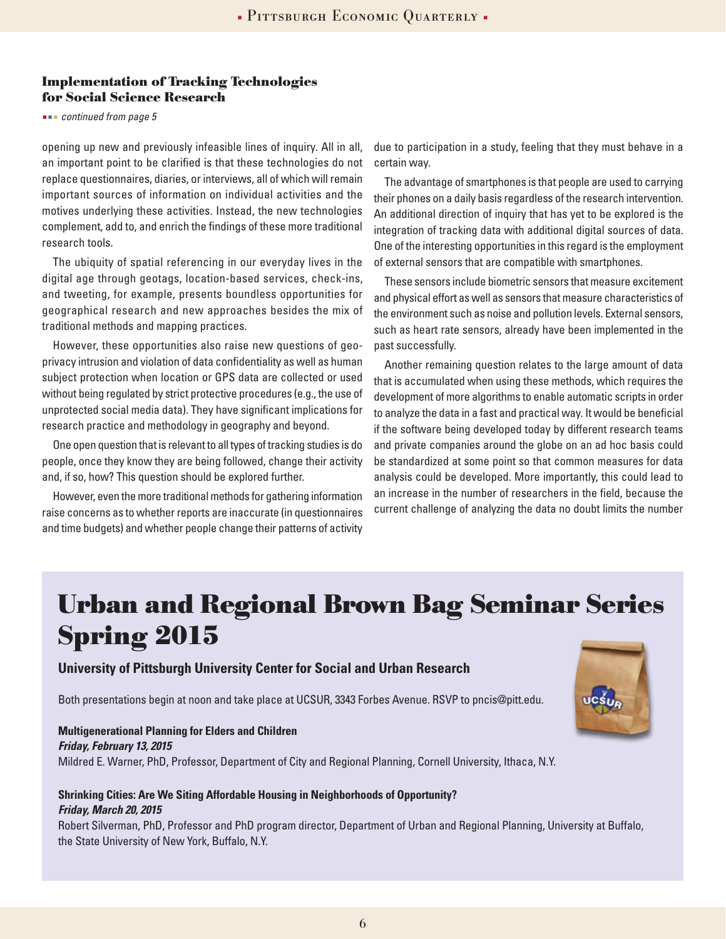### **Implementation of Tracking Technologies for Social Science Research**

#### *continued from page 5*

opening up new and previously infeasible lines of inquiry. All in all, an important point to be clarified is that these technologies do not replace questionnaires, diaries, or interviews, all of which will remain important sources of information on individual activities and the motives underlying these activities. Instead, the new technologies complement, add to, and enrich the findings of these more traditional research tools.

The ubiquity of spatial referencing in our everyday lives in the digital age through geotags, location-based services, check-ins, and tweeting, for example, presents boundless opportunities for geographical research and new approaches besides the mix of traditional methods and mapping practices.

However, these opportunities also raise new questions of geoprivacy intrusion and violation of data confidentiality as well as human subject protection when location or GPS data are collected or used without being regulated by strict protective procedures (e.g., the use of unprotected social media data). They have significant implications for research practice and methodology in geography and beyond.

One open question that is relevant to all types of tracking studies is do people, once they know they are being followed, change their activity and, if so, how? This question should be explored further.

However, even the more traditional methods for gathering information raise concerns as to whether reports are inaccurate (in questionnaires and time budgets) and whether people change their patterns of activity

due to participation in a study, feeling that they must behave in a certain way.

The advantage of smartphones is that people are used to carrying their phones on a daily basis regardless of the research intervention. An additional direction of inquiry that has yet to be explored is the integration of tracking data with additional digital sources of data. One of the interesting opportunities in this regard is the employment of external sensors that are compatible with smartphones.

These sensors include biometric sensors that measure excitement and physical effort as well as sensors that measure characteristics of the environment such as noise and pollution levels. External sensors, such as heart rate sensors, already have been implemented in the past successfully.

Another remaining question relates to the large amount of data that is accumulated when using these methods, which requires the development of more algorithms to enable automatic scripts in order to analyze the data in a fast and practical way. It would be beneficial if the software being developed today by different research teams and private companies around the globe on an ad hoc basis could be standardized at some point so that common measures for data analysis could be developed. More importantly, this could lead to an increase in the number of researchers in the field, because the current challenge of analyzing the data no doubt limits the number

# **Urban and Regional Brown Bag Seminar Series Spring 2015**

### **University of Pittsburgh University Center for Social and Urban Research**

Both presentations begin at noon and take place at UCSUR, 3343 Forbes Avenue. RSVP to pncis@pitt.edu.

## **Multigenerational Planning for Elders and Children**

#### *Friday, February 13, 2015*

Mildred E. Warner, PhD, Professor, Department of City and Regional Planning, Cornell University, Ithaca, N.Y.

#### **Shrinking Cities: Are We Siting Affordable Housing in Neighborhoods of Opportunity?**  *Friday, March 20, 2015*

Robert Silverman, PhD, Professor and PhD program director, Department of Urban and Regional Planning, University at Buffalo, the State University of New York, Buffalo, N.Y.

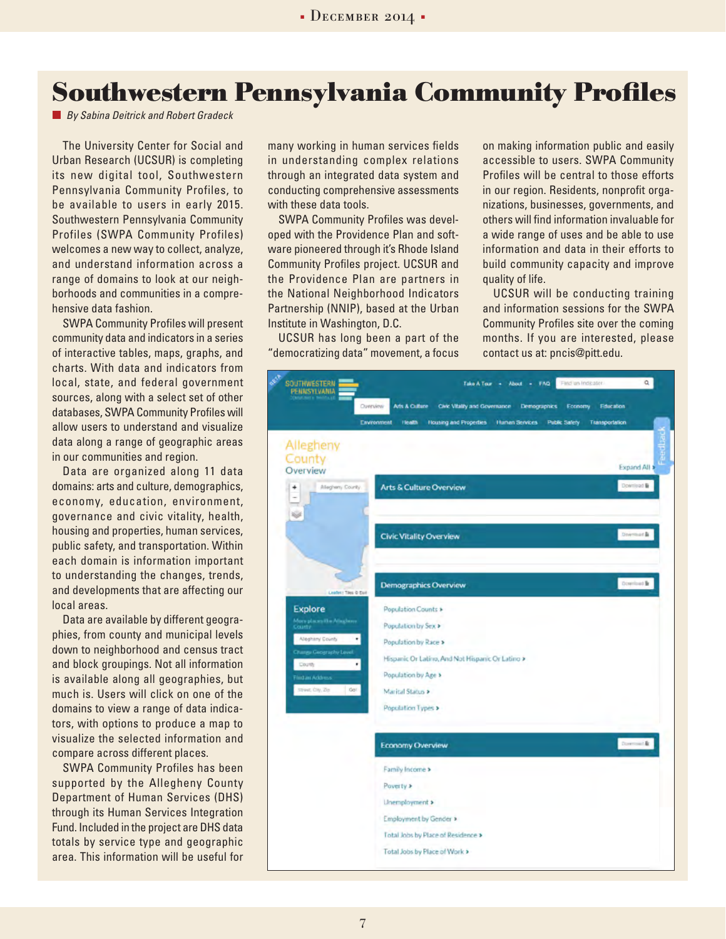## **Southwestern Pennsylvania Community Profiles**

*By Sabina Deitrick and Robert Gradeck*

The University Center for Social and Urban Research (UCSUR) is completing its new digital tool, Southwestern Pennsylvania Community Profiles, to be available to users in early 2015. Southwestern Pennsylvania Community Profiles (SWPA Community Profiles) welcomes a new way to collect, analyze, and understand information across a range of domains to look at our neighborhoods and communities in a comprehensive data fashion.

SWPA Community Profiles will present community data and indicators in a series of interactive tables, maps, graphs, and charts. With data and indicators from local, state, and federal government sources, along with a select set of other databases, SWPA Community Profiles will allow users to understand and visualize data along a range of geographic areas in our communities and region.

Data are organized along 11 data domains: arts and culture, demographics, economy, education, environment, governance and civic vitality, health, housing and properties, human services, public safety, and transportation. Within each domain is information important to understanding the changes, trends, and developments that are affecting our local areas.

Data are available by different geographies, from county and municipal levels down to neighborhood and census tract and block groupings. Not all information is available along all geographies, but much is. Users will click on one of the domains to view a range of data indicators, with options to produce a map to visualize the selected information and compare across different places.

SWPA Community Profiles has been supported by the Allegheny County Department of Human Services (DHS) through its Human Services Integration Fund. Included in the project are DHS data totals by service type and geographic area. This information will be useful for

many working in human services fields in understanding complex relations through an integrated data system and conducting comprehensive assessments with these data tools.

SWPA Community Profiles was developed with the Providence Plan and software pioneered through it's Rhode Island Community Profiles project. UCSUR and the Providence Plan are partners in the National Neighborhood Indicators Partnership (NNIP), based at the Urban Institute in Washington, D.C.

UCSUR has long been a part of the "democratizing data" movement, a focus on making information public and easily accessible to users. SWPA Community Profiles will be central to those efforts in our region. Residents, nonprofit organizations, businesses, governments, and others will find information invaluable for a wide range of uses and be able to use information and data in their efforts to build community capacity and improve quality of life.

UCSUR will be conducting training and information sessions for the SWPA Community Profiles site over the coming months. If you are interested, please contact us at: pncis@pitt.edu.

| <b>SOUTHWESTERN</b><br>PENNSYLVANIA   | First un Indicater<br>Take A Team +<br>About - FAQ                                                                               | $\alpha$     |
|---------------------------------------|----------------------------------------------------------------------------------------------------------------------------------|--------------|
|                                       | Arts & Culture<br>Civic Vitality and Governance<br>Demographics<br>Overview<br>Economy<br><b>Education</b>                       |              |
|                                       | Human Services<br>Environment<br><b>Health</b><br><b>Housing and Properties</b><br><b>Public Safety</b><br><b>Transportation</b> |              |
| Allegheny<br>County<br>Overview       |                                                                                                                                  | Expand All > |
| Maghery County<br>÷<br>-<br>Ŵ         | <b>Arts &amp; Culture Overview</b>                                                                                               | Download B   |
|                                       | Civic Vitality Overview                                                                                                          | Downnor &    |
| Leafert Tiles @ Est                   | <b>Demographics Overview</b>                                                                                                     | Download &   |
| Explore                               | Population Counts >                                                                                                              |              |
| More places the Atlashers<br>County   | Population by Sex >                                                                                                              |              |
| Aleghtiny County<br>٠                 | Population by Race >                                                                                                             |              |
| Change Geography Level<br>County<br>٠ | Hispanic Or Latino, And Not Hispanic Or Latino >                                                                                 |              |
| Find an Address                       | Population by Age >                                                                                                              |              |
| Street, City, Zip.<br><b>Golf</b>     | Marital Status >                                                                                                                 |              |
|                                       | <b>Population Types &gt;</b>                                                                                                     |              |
|                                       | <b>Economy Overview</b>                                                                                                          | Downsel&     |
|                                       | Family Income >                                                                                                                  |              |
|                                       | Poverty >                                                                                                                        |              |
|                                       | Linemployment >                                                                                                                  |              |
|                                       | Employment by Gender >                                                                                                           |              |
|                                       | Total Jobs by Place of Residence >                                                                                               |              |
|                                       | Total Jobs by Place of Work >                                                                                                    |              |